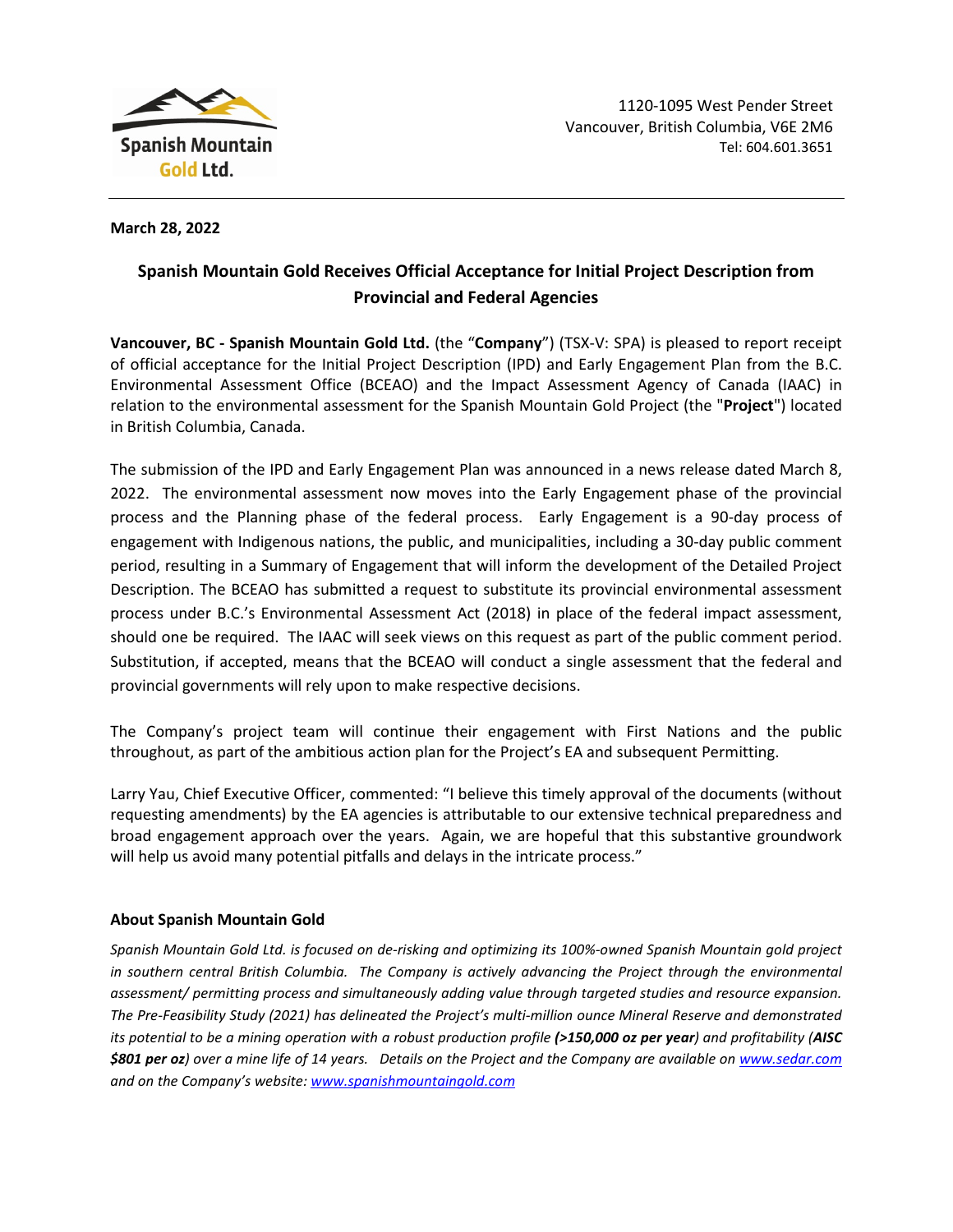

**March 28, 2022**

## **Spanish Mountain Gold Receives Official Acceptance for Initial Project Description from Provincial and Federal Agencies**

**Vancouver, BC - Spanish Mountain Gold Ltd.** (the "**Company**") (TSX-V: SPA) is pleased to report receipt of official acceptance for the Initial Project Description (IPD) and Early Engagement Plan from the B.C. Environmental Assessment Office (BCEAO) and the Impact Assessment Agency of Canada (IAAC) in relation to the environmental assessment for the Spanish Mountain Gold Project (the "**Project**") located in British Columbia, Canada.

The submission of the IPD and Early Engagement Plan was announced in a news release dated March 8, 2022. The environmental assessment now moves into the Early Engagement phase of the provincial process and the Planning phase of the federal process. Early Engagement is a 90-day process of engagement with Indigenous nations, the public, and municipalities, including a 30-day public comment period, resulting in a Summary of Engagement that will inform the development of the Detailed Project Description. The BCEAO has submitted a request to substitute its provincial environmental assessment process under B.C.'s Environmental Assessment Act (2018) in place of the federal impact assessment, should one be required. The IAAC will seek views on this request as part of the public comment period. Substitution, if accepted, means that the BCEAO will conduct a single assessment that the federal and provincial governments will rely upon to make respective decisions.

The Company's project team will continue their engagement with First Nations and the public throughout, as part of the ambitious action plan for the Project's EA and subsequent Permitting.

Larry Yau, Chief Executive Officer, commented: "I believe this timely approval of the documents (without requesting amendments) by the EA agencies is attributable to our extensive technical preparedness and broad engagement approach over the years. Again, we are hopeful that this substantive groundwork will help us avoid many potential pitfalls and delays in the intricate process."

## **About Spanish Mountain Gold**

*Spanish Mountain Gold Ltd. is focused on de-risking and optimizing its 100%-owned Spanish Mountain gold project in southern central British Columbia. The Company is actively advancing the Project through the environmental assessment/ permitting process and simultaneously adding value through targeted studies and resource expansion. The Pre-Feasibility Study (2021) has delineated the Project's multi-million ounce Mineral Reserve and demonstrated its potential to be a mining operation with a robust production profile (>150,000 oz per year) and profitability (AISC \$801 per oz) over a mine life of 14 years. Details on the Project and the Company are available on [www.sedar.com](https://www.sedar.com/DisplayProfile.do?lang=EN&issuerType=03&issuerNo=00008849) and on the Company's website: [www.spanishmountaingold.com](http://www.spanishmountaingold.com/)*